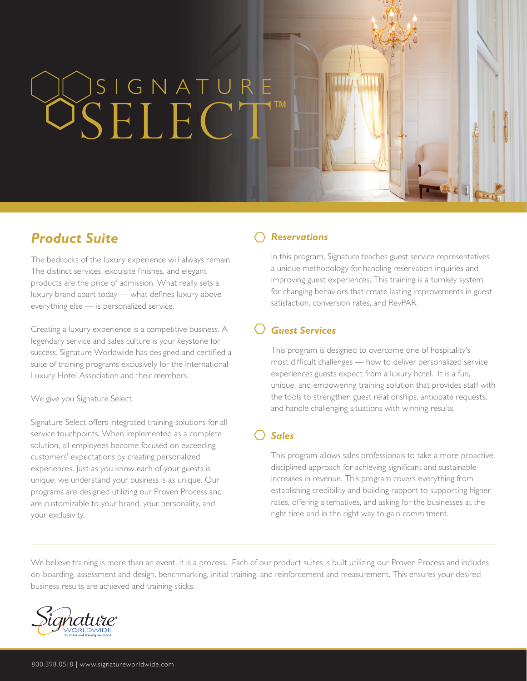# SSIGNATURE

## *Product Suite*

The bedrocks of the luxury experience will always remain. The distinct services, exquisite finishes, and elegant products are the price of admission. What really sets a luxury brand apart today — what defines luxury above everything else — is personalized service.

Creating a luxury experience is a competitive business. A legendary service and sales culture is your keystone for success. Signature Worldwide has designed and certified a suite of training programs exclusively for the International Luxury Hotel Association and their members.

We give you Signature Select.

Signature Select offers integrated training solutions for all service touchpoints. When implemented as a complete solution, all employees become focused on exceeding customers' expectations by creating personalized experiences. Just as you know each of your guests is unique, we understand your business is as unique. Our programs are designed utilizing our Proven Process and are customizable to your brand, your personality, and your exclusivity.

### *Reservations*

In this program, Signature teaches guest service representatives a unique methodology for handling reservation inquiries and improving guest experiences. This training is a turnkey system for changing behaviors that create lasting improvements in guest satisfaction, conversion rates, and RevPAR.

### *Guest Services*

This program is designed to overcome one of hospitality's most difficult challenges — how to deliver personalized service experiences guests expect from a luxury hotel. It is a fun, unique, and empowering training solution that provides staff with the tools to strengthen guest relationships, anticipate requests, and handle challenging situations with winning results.

### *Sales*

This program allows sales professionals to take a more proactive, disciplined approach for achieving significant and sustainable increases in revenue. This program covers everything from establishing credibility and building rapport to supporting higher rates, offering alternatives, and asking for the businesses at the right time and in the right way to gain commitment.

We believe training is more than an event, it is a process. Each of our product suites is built utilizing our Proven Process and includes on-boarding, assessment and design, benchmarking, initial training, and reinforcement and measurement. This ensures your desired business results are achieved and training sticks.